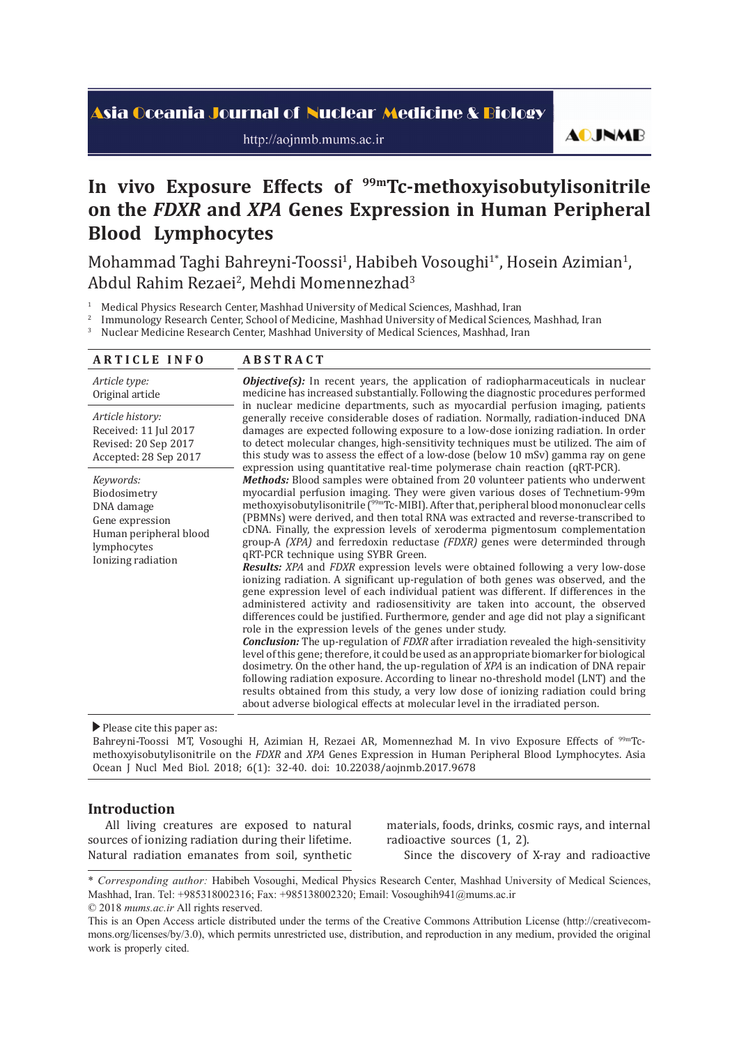# Asia Oceania Journal of Nuclear Medicine & Biology

http://aojnmb.mums.ac.ir

**AOJNMB** 

# In vivo Exposure Effects of <sup>99m</sup>Tc-methoxyisobutylisonitrile **on the** *FDXR* **and** *XPA* **Genes Expression in Human Peripheral Blood Lymphocytes**

Mohammad Taghi Bahreyni-Toossi<sup>1</sup>, Habibeh Vosoughi<sup>1</sup>\*, Hosein Azimian<sup>1</sup>, Abdul Rahim Rezaei<sup>2</sup>, Mehdi Momennezhad<sup>3</sup>

1 Medical Physics Research Center, Mashhad University of Medical Sciences, Mashhad, Iran

<sup>2</sup> Immunology Research Center, School of Medicine, Mashhad University of Medical Sciences, Mashhad, Iran  $\frac{3}{2}$  Nuclear Medicine Research Center, Mashhad University of Medical Sciences, Mashhad, Iran

Nuclear Medicine Research Center, Mashhad University of Medical Sciences, Mashhad, Iran

| <b>ARTICLE INFO</b>                                                                                                       | <b>ABSTRACT</b>                                                                                                                                                                                                                                                                                                                                                                                                                                                                                                                                                                                                                                                                                                                                                                                                                                                                                                                                                                                                                                                                                                                                                                                                                                                                                                                                                                                                                                                                                                                                                                                                                                         |  |
|---------------------------------------------------------------------------------------------------------------------------|---------------------------------------------------------------------------------------------------------------------------------------------------------------------------------------------------------------------------------------------------------------------------------------------------------------------------------------------------------------------------------------------------------------------------------------------------------------------------------------------------------------------------------------------------------------------------------------------------------------------------------------------------------------------------------------------------------------------------------------------------------------------------------------------------------------------------------------------------------------------------------------------------------------------------------------------------------------------------------------------------------------------------------------------------------------------------------------------------------------------------------------------------------------------------------------------------------------------------------------------------------------------------------------------------------------------------------------------------------------------------------------------------------------------------------------------------------------------------------------------------------------------------------------------------------------------------------------------------------------------------------------------------------|--|
| Article type:<br>Original article                                                                                         | Objective(s): In recent years, the application of radiopharmaceuticals in nuclear<br>medicine has increased substantially. Following the diagnostic procedures performed                                                                                                                                                                                                                                                                                                                                                                                                                                                                                                                                                                                                                                                                                                                                                                                                                                                                                                                                                                                                                                                                                                                                                                                                                                                                                                                                                                                                                                                                                |  |
| Article history:<br>Received: 11 Jul 2017<br>Revised: 20 Sep 2017<br>Accepted: 28 Sep 2017                                | in nuclear medicine departments, such as myocardial perfusion imaging, patients<br>generally receive considerable doses of radiation. Normally, radiation-induced DNA<br>damages are expected following exposure to a low-dose ionizing radiation. In order<br>to detect molecular changes, high-sensitivity techniques must be utilized. The aim of<br>this study was to assess the effect of a low-dose (below 10 mSv) gamma ray on gene<br>expression using quantitative real-time polymerase chain reaction (qRT-PCR).                                                                                                                                                                                                                                                                                                                                                                                                                                                                                                                                                                                                                                                                                                                                                                                                                                                                                                                                                                                                                                                                                                                              |  |
| Keywords:<br>Biodosimetry<br>DNA damage<br>Gene expression<br>Human peripheral blood<br>lymphocytes<br>Ionizing radiation | <b>Methods:</b> Blood samples were obtained from 20 volunteer patients who underwent<br>myocardial perfusion imaging. They were given various doses of Technetium-99m<br>methoxyisobutylisonitrile ( <sup>99m</sup> Tc-MIBI). After that, peripheral blood mononuclear cells<br>(PBMNs) were derived, and then total RNA was extracted and reverse-transcribed to<br>cDNA. Finally, the expression levels of xeroderma pigmentosum complementation<br>group-A (XPA) and ferredoxin reductase (FDXR) genes were determinded through<br>gRT-PCR technique using SYBR Green.<br><b>Results:</b> XPA and FDXR expression levels were obtained following a very low-dose<br>ionizing radiation. A significant up-regulation of both genes was observed, and the<br>gene expression level of each individual patient was different. If differences in the<br>administered activity and radiosensitivity are taken into account, the observed<br>differences could be justified. Furthermore, gender and age did not play a significant<br>role in the expression levels of the genes under study.<br><b>Conclusion:</b> The up-regulation of <i>FDXR</i> after irradiation revealed the high-sensitivity<br>level of this gene; therefore, it could be used as an appropriate biomarker for biological<br>dosimetry. On the other hand, the up-regulation of XPA is an indication of DNA repair<br>following radiation exposure. According to linear no-threshold model (LNT) and the<br>results obtained from this study, a very low dose of ionizing radiation could bring<br>about adverse biological effects at molecular level in the irradiated person. |  |

Please cite this paper as:

Bahreyni-Toossi MT, Vosoughi H, Azimian H, Rezaei AR, Momennezhad M. In vivo Exposure Effects of 99mTcmethoxyisobutylisonitrile on the *FDXR* and *XPA* Genes Expression in Human Peripheral Blood Lymphocytes. Asia Ocean J Nucl Med Biol. 2018; 6(1): 32-40. doi: 10.22038/aojnmb.2017.9678

# **Introduction**

All living creatures are exposed to natural sources of ionizing radiation during their lifetime. Natural radiation emanates from soil, synthetic materials, foods, drinks, cosmic rays, and internal radioactive sources (1, 2).

Since the discovery of X-ray and radioactive

<sup>\*</sup> *Corresponding author:* Habibeh Vosoughi, Medical Physics Research Center, Mashhad University of Medical Sciences, Mashhad, Iran. Tel: +985318002316; Fax: +985138002320; Email: Vosoughih941@mums.ac.ir © 2018 *mums.ac.ir* All rights reserved.

This is an Open Access article distributed under the terms of the Creative Commons Attribution License (http://creativecommons.org/licenses/by/3.0), which permits unrestricted use, distribution, and reproduction in any medium, provided the original work is properly cited.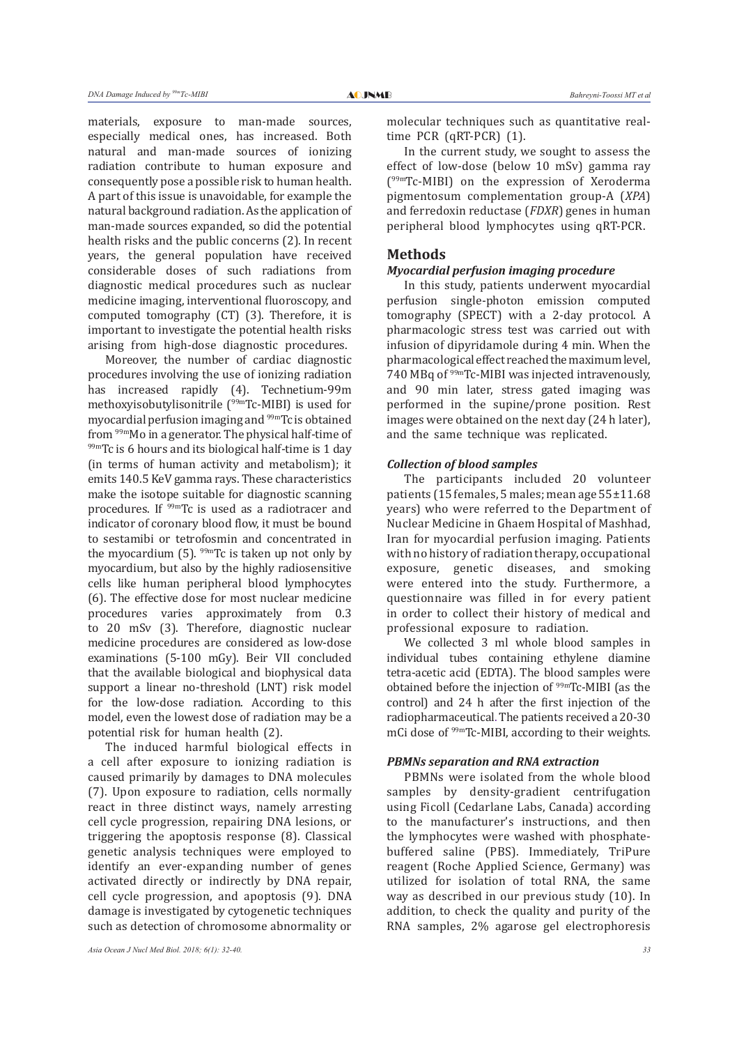materials, exposure to man-made sources, especially medical ones, has increased. Both natural and man-made sources of ionizing radiation contribute to human exposure and consequently pose a possible risk to human health. A part of this issue is unavoidable, for example the natural background radiation. As the application of man-made sources expanded, so did the potential health risks and the public concerns (2). In recent years, the general population have received considerable doses of such radiations from diagnostic medical procedures such as nuclear medicine imaging, interventional fluoroscopy, and computed tomography (CT) (3). Therefore, it is important to investigate the potential health risks arising from high-dose diagnostic procedures.

Moreover, the number of cardiac diagnostic procedures involving the use of ionizing radiation has increased rapidly (4). Technetium-99m methoxyisobutylisonitrile (99mTc-MIBI) is used for myocardial perfusion imaging and <sup>99m</sup>Tc is obtained<br>from <sup>99m</sup>Mo in a generator. The physical half-time of  $f<sup>99m</sup>$ Tc is 6 hours and its biological half-time is 1 day (in terms of human activity and metabolism); it emits 140.5 KeV gamma rays. These characteristics make the isotope suitable for diagnostic scanning procedures. If 99mTc is used as a radiotracer and indicator of coronary blood flow, it must be bound to sestamibi or tetrofosmin and concentrated in the myocardium (5).  $99mTc$  is taken up not only by myocardium, but also by the highly radiosensitive cells like human peripheral blood lymphocytes (6). The effective dose for most nuclear medicine procedures varies approximately from 0.3 to 20 mSv (3). Therefore, diagnostic nuclear medicine procedures are considered as low-dose examinations (5-100 mGy). Beir VII concluded that the available biological and biophysical data support a linear no-threshold (LNT) risk model for the low-dose radiation. According to this model, even the lowest dose of radiation may be a potential risk for human health (2).

The induced harmful biological effects in a cell after exposure to ionizing radiation is caused primarily by damages to DNA molecules (7). Upon exposure to radiation, cells normally react in three distinct ways, namely arresting cell cycle progression, repairing DNA lesions, or triggering the apoptosis response (8). Classical genetic analysis techniques were employed to identify an ever-expanding number of genes activated directly or indirectly by DNA repair, cell cycle progression, and apoptosis (9). DNA damage is investigated by cytogenetic techniques such as detection of chromosome abnormality or

molecular techniques such as quantitative realtime PCR (qRT-PCR) (1).

In the current study, we sought to assess the effect of low-dose (below 10 mSv) gamma ray (99mTc-MIBI) on the expression of Xeroderma pigmentosum complementation group-A (*XPA*) and ferredoxin reductase (*FDXR*) genes in human peripheral blood lymphocytes using qRT-PCR.

# **Methods**

# *Myocardial perfusion imaging procedure*

In this study, patients underwent myocardial perfusion single-photon emission computed tomography (SPECT) with a 2-day protocol. A pharmacologic stress test was carried out with infusion of dipyridamole during 4 min. When the pharmacological effect reached the maximum level, 740 MBq of 99mTc-MIBI was injected intravenously, and 90 min later, stress gated imaging was performed in the supine/prone position. Rest images were obtained on the next day (24 h later), and the same technique was replicated.

#### *Collection of blood samples*

The participants included 20 volunteer patients (15 females, 5 males; mean age 55±11.68 years) who were referred to the Department of Nuclear Medicine in Ghaem Hospital of Mashhad, Iran for myocardial perfusion imaging. Patients with no history of radiation therapy, occupational exposure, genetic diseases, and smoking were entered into the study. Furthermore, a questionnaire was filled in for every patient in order to collect their history of medical and professional exposure to radiation.

We collected 3 ml whole blood samples in individual tubes containing ethylene diamine tetra-acetic acid (EDTA). The blood samples were obtained before the injection of 99mTc-MIBI (as the control) and 24 h after the first injection of the radiopharmaceutical. The patients received a 20-30 mCi dose of 99mTc-MIBI, according to their weights.

#### *PBMNs separation and RNA extraction*

PBMNs were isolated from the whole blood samples by density-gradient centrifugation using Ficoll (Cedarlane Labs, Canada) according to the manufacturer's instructions, and then the lymphocytes were washed with phosphatebuffered saline (PBS). Immediately, TriPure reagent (Roche Applied Science, Germany) was utilized for isolation of total RNA, the same way as described in our previous study (10). In addition, to check the quality and purity of the RNA samples, 2% agarose gel electrophoresis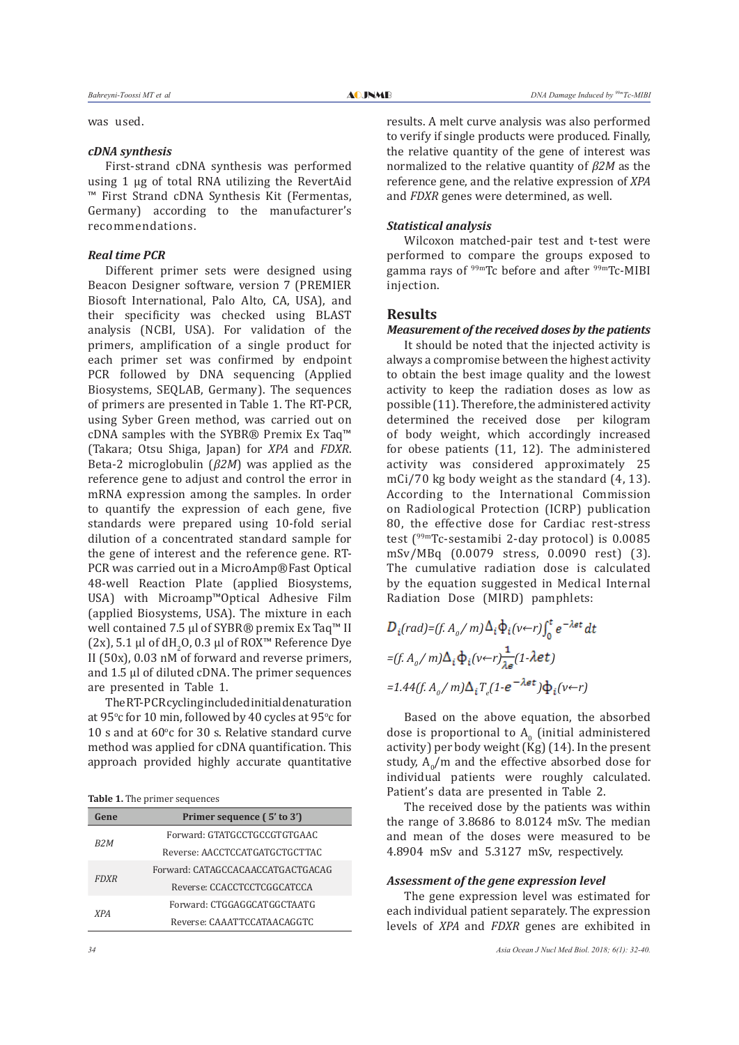was used.

# *cDNA synthesis*

First-strand cDNA synthesis was performed using 1 µg of total RNA utilizing the RevertAid ™ First Strand cDNA Synthesis Kit (Fermentas, Germany) according to the manufacturer's recommendations.

# *Real time PCR*

Different primer sets were designed using Beacon Designer software, version 7 (PREMIER Biosoft International, Palo Alto, CA, USA), and their specificity was checked using BLAST analysis (NCBI, USA). For validation of the primers, amplification of a single product for each primer set was confirmed by endpoint PCR followed by DNA sequencing (Applied Biosystems, SEQLAB, Germany). The sequences of primers are presented in Table 1. The RT-PCR, using Syber Green method, was carried out on cDNA samples with the SYBR® Premix Ex Taq™ (Takara; Otsu Shiga, Japan) for *XPA* and *FDXR*. Beta-2 microglobulin (*β2M*) was applied as the reference gene to adjust and control the error in mRNA expression among the samples. In order to quantify the expression of each gene, five standards were prepared using 10-fold serial dilution of a concentrated standard sample for the gene of interest and the reference gene. RT-PCR was carried out in a MicroAmp®Fast Optical 48-well Reaction Plate (applied Biosystems, USA) with Microamp™Optical Adhesive Film (applied Biosystems, USA). The mixture in each well contained 7.5 µl of SYBR® premix Ex Taq<sup>™</sup> II (2x), 5.1 µl of dH<sub>2</sub>O, 0.3 µl of ROX™ Reference Dye II (50x), 0.03  $nM$  of forward and reverse primers, and 1.5 µl of diluted cDNA. The primer sequences are presented in Table 1.

The RT-PCR cycling included initial denaturation at 95°c for 10 min, followed by 40 cycles at 95°c for 10 s and at  $60^{\circ}$ c for 30 s. Relative standard curve method was applied for cDNA quantification. This approach provided highly accurate quantitative

**Table 1.** The primer sequences

| Gene             | Primer sequence (5' to 3')        |  |  |
|------------------|-----------------------------------|--|--|
| R <sub>2</sub> M | Forward: GTATGCCTGCCGTGTGAAC      |  |  |
|                  | Reverse: AACCTCCATGATGCTGCTTAC    |  |  |
| <b>FDXR</b>      | Forward: CATAGCCACAACCATGACTGACAG |  |  |
|                  | Reverse: CCACCTCCTCGGCATCCA       |  |  |
| <i>XPA</i>       | Forward: CTGGAGGCATGGCTAATG       |  |  |
|                  | Reverse: CAAATTCCATAACAGGTC       |  |  |

results. A melt curve analysis was also performed to verify if single products were produced. Finally, the relative quantity of the gene of interest was normalized to the relative quantity of *β2M* as the reference gene, and the relative expression of *XPA* and *FDXR* genes were determined, as well.

# *Statistical analysis*

Wilcoxon matched-pair test and t-test were performed to compare the groups exposed to gamma rays of  $99mTc$  before and after  $99mTc$ -MIBI injection.

# **Results**

#### *Measurement of the received doses by the patients*

It should be noted that the injected activity is always a compromise between the highest activity to obtain the best image quality and the lowest activity to keep the radiation doses as low as possible (11). Therefore, the administered activity determined the received dose per kilogram of body weight, which accordingly increased for obese patients (11, 12). The administered activity was considered approximately 25 mCi/70 kg body weight as the standard (4, 13). According to the International Commission on Radiological Protection (ICRP) publication 80, the effective dose for Cardiac rest-stress test (99mTc-sestamibi 2-day protocol) is 0.0085 mSv/MBq (0.0079 stress, 0.0090 rest) (3). The cumulative radiation dose is calculated by the equation suggested in Medical Internal Radiation Dose (MIRD) pamphlets:

$$
D_i(rad) = (f. A_0 / m) \Delta_i \Phi_i (v \leftarrow r) \int_0^t e^{-\lambda \epsilon t} dt
$$
  
= (f. A\_0 / m) \Delta\_i \Phi\_i (v \leftarrow r) \frac{1}{\lambda \epsilon} (1 - \lambda \epsilon t)   
= 1.44 (f. A\_0 / m) \Delta\_i T\_e (1 - e^{-\lambda \epsilon t}) \Phi\_i (v \leftarrow r)

Based on the above equation, the absorbed dose is proportional to  $A_0$  (initial administered activity) per body weight  $(Kg)$  (14). In the present study,  $A_0/m$  and the effective absorbed dose for individual patients were roughly calculated. Patient's data are presented in Table 2.

The received dose by the patients was within the range of 3.8686 to 8.0124 mSv. The median and mean of the doses were measured to be 4.8904 mSv and 5.3127 mSv, respectively.

## *Assessment of the gene expression level*

The gene expression level was estimated for each individual patient separately. The expression levels of *XPA* and *FDXR* genes are exhibited in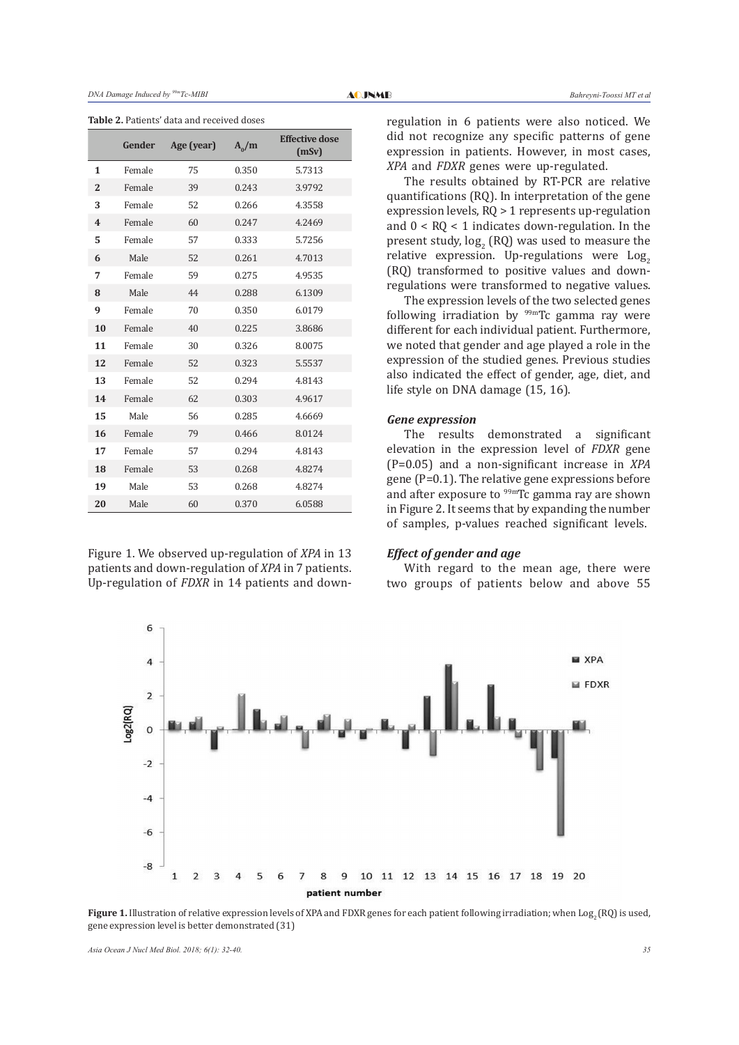**Table 2.** Patients' data and received doses

|                | Gender | Age (year) | $A_0/m$ | <b>Effective dose</b><br>(mSv) |
|----------------|--------|------------|---------|--------------------------------|
| 1              | Female | 75         | 0.350   | 5.7313                         |
| $\overline{2}$ | Female | 39         | 0.243   | 3.9792                         |
| 3              | Female | 52         | 0.266   | 4.3558                         |
| 4              | Female | 60         | 0.247   | 4.2469                         |
| 5              | Female | 57         | 0.333   | 5.7256                         |
| 6              | Male   | 52         | 0.261   | 4.7013                         |
| 7              | Female | 59         | 0.275   | 4.9535                         |
| 8              | Male   | 44         | 0.288   | 6.1309                         |
| 9              | Female | 70         | 0.350   | 6.0179                         |
| 10             | Female | 40         | 0.225   | 3.8686                         |
| 11             | Female | 30         | 0.326   | 8.0075                         |
| 12             | Female | 52         | 0.323   | 5.5537                         |
| 13             | Female | 52         | 0.294   | 4.8143                         |
| 14             | Female | 62         | 0.303   | 4.9617                         |
| 15             | Male   | 56         | 0.285   | 4.6669                         |
| 16             | Female | 79         | 0.466   | 8.0124                         |
| 17             | Female | 57         | 0.294   | 4.8143                         |
| 18             | Female | 53         | 0.268   | 4.8274                         |
| 19             | Male   | 53         | 0.268   | 4.8274                         |
| 20             | Male   | 60         | 0.370   | 6.0588                         |

Figure 1. We observed up-regulation of *XPA* in 13 patients and down-regulation of *XPA* in 7 patients. Up-regulation of *FDXR* in 14 patients and downregulation in 6 patients were also noticed. We did not recognize any specific patterns of gene expression in patients. However, in most cases, *XPA* and *FDXR* genes were up-regulated.

The results obtained by RT-PCR are relative quantifications (RQ). In interpretation of the gene expression levels, RQ > 1 represents up-regulation and  $0 < R<sub>0</sub> < 1$  indicates down-regulation. In the present study,  $log_2$  (RQ) was used to measure the relative expression. Up-regulations were  $Log<sub>2</sub>$ (RQ) transformed to positive values and downregulations were transformed to negative values.

The expression levels of the two selected genes following irradiation by 99mTc gamma ray were different for each individual patient. Furthermore, we noted that gender and age played a role in the expression of the studied genes. Previous studies also indicated the effect of gender, age, diet, and life style on DNA damage (15, 16).

# *Gene expression*

The results demonstrated a significant elevation in the expression level of *FDXR* gene (P=0.05) and a non-significant increase in *XPA* gene (P=0.1). The relative gene expressions before and after exposure to  $99m$ Tc gamma ray are shown in Figure 2. It seems that by expanding the number of samples, p-values reached significant levels.

# *Effect of gender and age*

With regard to the mean age, there were two groups of patients below and above 55



**Figure 1.** Illustration of relative expression levels of XPA and FDXR genes for each patient following irradiation; when Log<sub>2</sub> (RQ) is used, gene expression level is better demonstrated (31)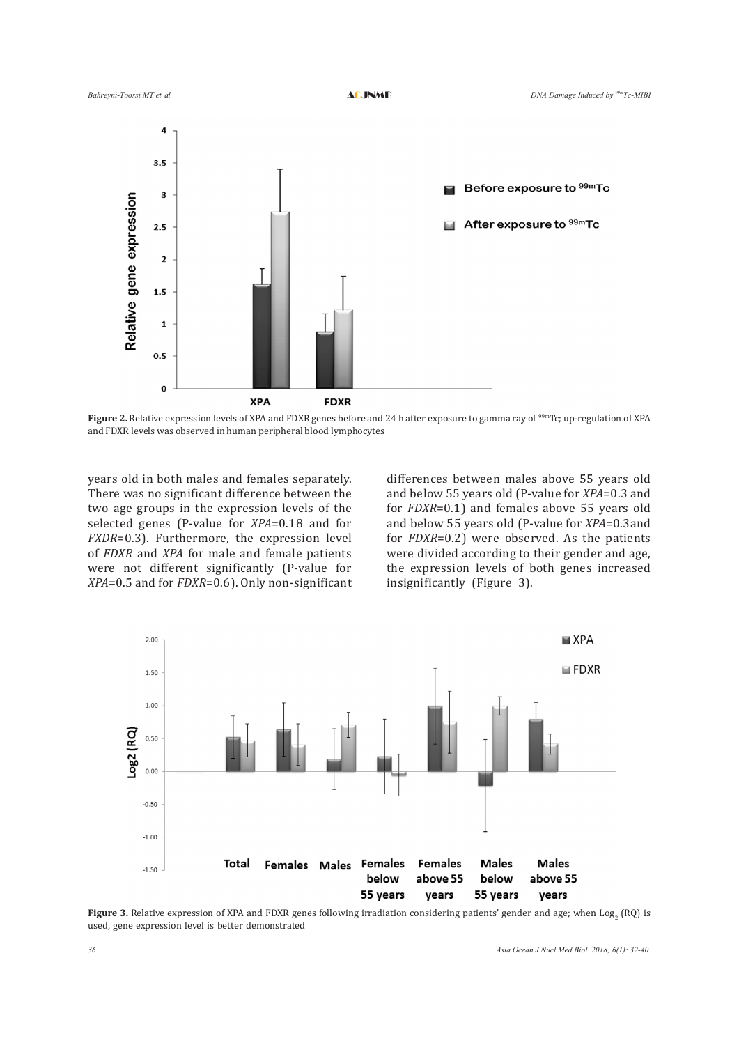

**Figure 2.** Relative expression levels of XPA and FDXR genes before and 24 h after exposure to gamma ray of <sup>99m</sup>Tc; up-regulation of XPA and FDXR levels was observed in human peripheral blood lymphocytes

years old in both males and females separately. There was no significant difference between the two age groups in the expression levels of the selected genes (P-value for *XPA*=0.18 and for *FXDR*=0.3). Furthermore, the expression level of *FDXR* and *XPA* for male and female patients were not different significantly (P-value for *XPA*=0.5 and for *FDXR*=0.6). Only non-significant differences between males above 55 years old and below 55 years old (P-value for *XPA*=0.3 and for *FDXR*=0.1) and females above 55 years old and below 55 years old (P-value for *XPA*=0.3and for *FDXR*=0.2) were observed. As the patients were divided according to their gender and age, the expression levels of both genes increased insignificantly (Figure 3).



**Figure 3.** Relative expression of XPA and FDXR genes following irradiation considering patients' gender and age; when  $\text{Log}_2$  (RQ) is used, gene expression level is better demonstrated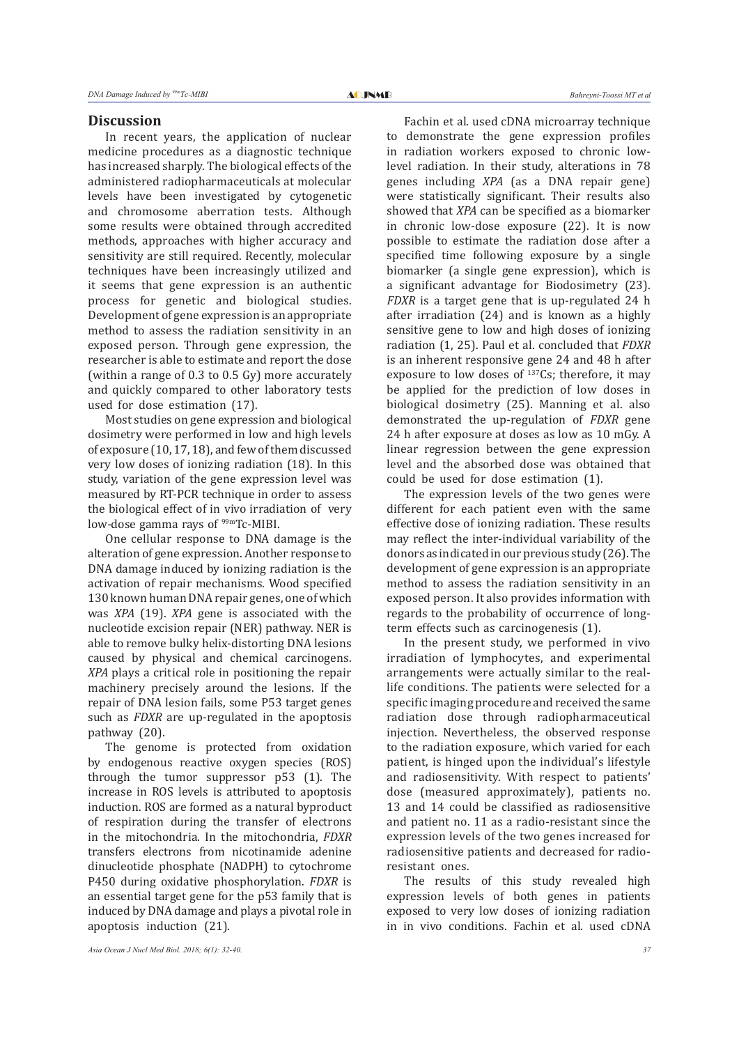#### **Discussion**

In recent years, the application of nuclear medicine procedures as a diagnostic technique has increased sharply. The biological effects of the administered radiopharmaceuticals at molecular levels have been investigated by cytogenetic and chromosome aberration tests. Although some results were obtained through accredited methods, approaches with higher accuracy and sensitivity are still required. Recently, molecular techniques have been increasingly utilized and it seems that gene expression is an authentic process for genetic and biological studies. Development of gene expression is an appropriate method to assess the radiation sensitivity in an exposed person. Through gene expression, the researcher is able to estimate and report the dose (within a range of 0.3 to 0.5 Gy) more accurately and quickly compared to other laboratory tests used for dose estimation (17).

Most studies on gene expression and biological dosimetry were performed in low and high levels of exposure (10, 17, 18), and few of them discussed very low doses of ionizing radiation (18). In this study, variation of the gene expression level was measured by RT-PCR technique in order to assess the biological effect of in vivo irradiation of very low-dose gamma rays of <sup>99m</sup>Tc-MIBI.

One cellular response to DNA damage is the alteration of gene expression. Another response to DNA damage induced by ionizing radiation is the activation of repair mechanisms. Wood specified 130 known human DNA repair genes, one of which was *XPA* (19). *XPA* gene is associated with the nucleotide excision repair (NER) pathway. NER is able to remove bulky helix-distorting DNA lesions caused by physical and chemical carcinogens. *XPA* plays a critical role in positioning the repair machinery precisely around the lesions. If the repair of DNA lesion fails, some P53 target genes such as *FDXR* are up-regulated in the apoptosis pathway (20).

The genome is protected from oxidation by endogenous reactive oxygen species (ROS) through the tumor suppressor p53 (1). The increase in ROS levels is attributed to apoptosis induction. ROS are formed as a natural byproduct of respiration during the transfer of electrons in the mitochondria. In the mitochondria, *FDXR* transfers electrons from nicotinamide adenine dinucleotide phosphate (NADPH) to cytochrome P450 during oxidative phosphorylation. *FDXR* is an essential target gene for the p53 family that is induced by DNA damage and plays a pivotal role in apoptosis induction (21).

Fachin et al. used cDNA microarray technique to demonstrate the gene expression profiles in radiation workers exposed to chronic lowlevel radiation. In their study, alterations in 78 genes including *XPA* (as a DNA repair gene) were statistically significant. Their results also showed that *XPA* can be specified as a biomarker in chronic low-dose exposure (22). It is now possible to estimate the radiation dose after a specified time following exposure by a single biomarker (a single gene expression), which is a significant advantage for Biodosimetry (23). *FDXR* is a target gene that is up-regulated 24 h after irradiation (24) and is known as a highly sensitive gene to low and high doses of ionizing radiation (1, 25). Paul et al. concluded that *FDXR* is an inherent responsive gene 24 and 48 h after exposure to low doses of  $137Cs$ ; therefore, it may be applied for the prediction of low doses in biological dosimetry (25). Manning et al. also demonstrated the up-regulation of *FDXR* gene 24 h after exposure at doses as low as 10 mGy. A linear regression between the gene expression level and the absorbed dose was obtained that could be used for dose estimation (1).

The expression levels of the two genes were different for each patient even with the same effective dose of ionizing radiation. These results may reflect the inter-individual variability of the donors as indicated in our previous study (26). The development of gene expression is an appropriate method to assess the radiation sensitivity in an exposed person. It also provides information with regards to the probability of occurrence of longterm effects such as carcinogenesis (1).

In the present study, we performed in vivo irradiation of lymphocytes, and experimental arrangements were actually similar to the reallife conditions. The patients were selected for a specific imaging procedure and received the same radiation dose through radiopharmaceutical injection. Nevertheless, the observed response to the radiation exposure, which varied for each patient, is hinged upon the individual's lifestyle and radiosensitivity. With respect to patients' dose (measured approximately), patients no. 13 and 14 could be classified as radiosensitive and patient no. 11 as a radio-resistant since the expression levels of the two genes increased for radiosensitive patients and decreased for radioresistant ones.

The results of this study revealed high expression levels of both genes in patients exposed to very low doses of ionizing radiation in in vivo conditions. Fachin et al. used cDNA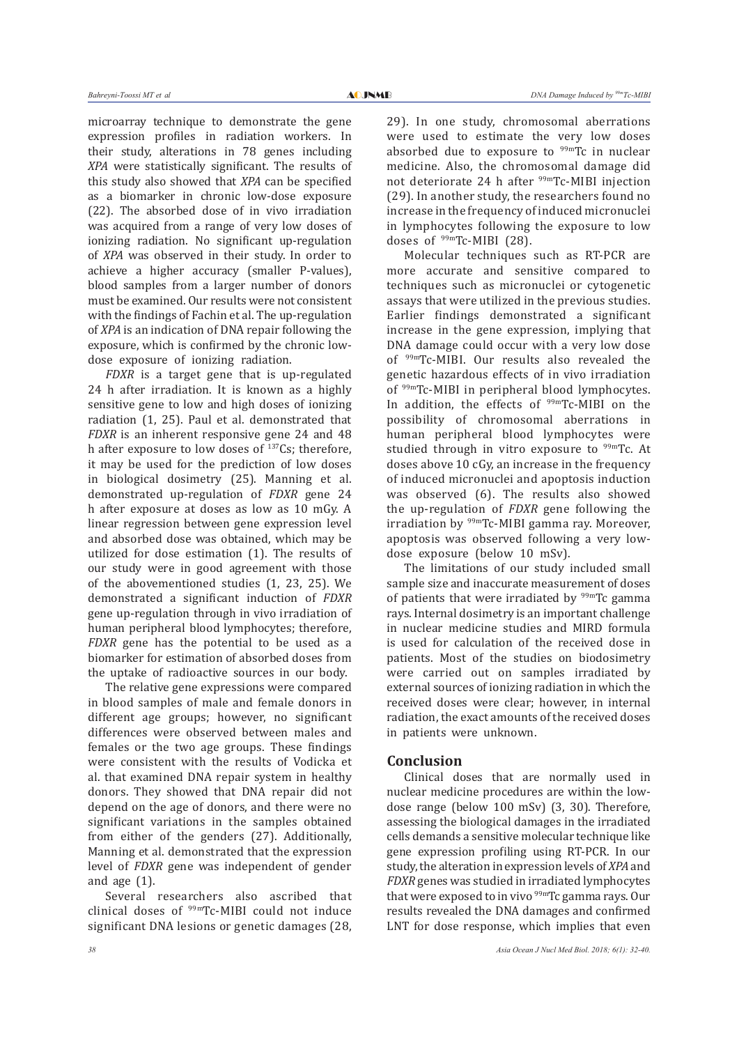microarray technique to demonstrate the gene expression profiles in radiation workers. In their study, alterations in 78 genes including *XPA* were statistically significant. The results of this study also showed that *XPA* can be specified as a biomarker in chronic low-dose exposure (22). The absorbed dose of in vivo irradiation was acquired from a range of very low doses of ionizing radiation. No significant up-regulation of *XPA* was observed in their study. In order to achieve a higher accuracy (smaller P-values), blood samples from a larger number of donors must be examined. Our results were not consistent with the findings of Fachin et al. The up-regulation of *XPA* is an indication of DNA repair following the exposure, which is confirmed by the chronic lowdose exposure of ionizing radiation.

*FDXR* is a target gene that is up-regulated 24 h after irradiation. It is known as a highly sensitive gene to low and high doses of ionizing radiation (1, 25). Paul et al. demonstrated that *FDXR* is an inherent responsive gene 24 and 48 h after exposure to low doses of  $137Cs$ ; therefore, it may be used for the prediction of low doses in biological dosimetry (25). Manning et al. demonstrated up-regulation of *FDXR* gene 24 h after exposure at doses as low as 10 mGy. A linear regression between gene expression level and absorbed dose was obtained, which may be utilized for dose estimation (1). The results of our study were in good agreement with those of the abovementioned studies (1, 23, 25). We demonstrated a significant induction of *FDXR* gene up-regulation through in vivo irradiation of human peripheral blood lymphocytes; therefore, *FDXR* gene has the potential to be used as a biomarker for estimation of absorbed doses from the uptake of radioactive sources in our body.

The relative gene expressions were compared in blood samples of male and female donors in different age groups; however, no significant differences were observed between males and females or the two age groups. These findings were consistent with the results of Vodicka et al. that examined DNA repair system in healthy donors. They showed that DNA repair did not depend on the age of donors, and there were no significant variations in the samples obtained from either of the genders (27). Additionally, Manning et al. demonstrated that the expression level of *FDXR* gene was independent of gender and age (1).

Several researchers also ascribed that clinical doses of 99mTc-MIBI could not induce significant DNA lesions or genetic damages (28, 29). In one study, chromosomal aberrations were used to estimate the very low doses absorbed due to exposure to  $99m$ Tc in nuclear medicine. Also, the chromosomal damage did not deteriorate 24 h after <sup>99m</sup>Tc-MIBI injection (29). In another study, the researchers found no increase in the frequency of induced micronuclei in lymphocytes following the exposure to low doses of 99mTc-MIBI (28).

Molecular techniques such as RT-PCR are more accurate and sensitive compared to techniques such as micronuclei or cytogenetic assays that were utilized in the previous studies. Earlier findings demonstrated a significant increase in the gene expression, implying that DNA damage could occur with a very low dose of 99mTc-MIBI. Our results also revealed the genetic hazardous effects of in vivo irradiation of 99mTc-MIBI in peripheral blood lymphocytes. In addition, the effects of <sup>99m</sup>Tc-MIBI on the possibility of chromosomal aberrations in human peripheral blood lymphocytes were studied through in vitro exposure to  $99m$ Tc. At doses above 10 cGy, an increase in the frequency of induced micronuclei and apoptosis induction was observed (6). The results also showed the up-regulation of *FDXR* gene following the irradiation by 99mTc-MIBI gamma ray. Moreover, apoptosis was observed following a very lowdose exposure (below 10 mSv).

The limitations of our study included small sample size and inaccurate measurement of doses of patients that were irradiated by  $99mTc$  gamma rays. Internal dosimetry is an important challenge in nuclear medicine studies and MIRD formula is used for calculation of the received dose in patients. Most of the studies on biodosimetry were carried out on samples irradiated by external sources of ionizing radiation in which the received doses were clear; however, in internal radiation, the exact amounts of the received doses in patients were unknown.

# **Conclusion**

Clinical doses that are normally used in nuclear medicine procedures are within the lowdose range (below 100 mSv) (3, 30). Therefore, assessing the biological damages in the irradiated cells demands a sensitive molecular technique like gene expression profiling using RT-PCR. In our study, the alteration in expression levels of *XPA* and *FDXR* genes was studied in irradiated lymphocytes that were exposed to in vivo <sup>99m</sup>Tc gamma rays. Our results revealed the DNA damages and confirmed LNT for dose response, which implies that even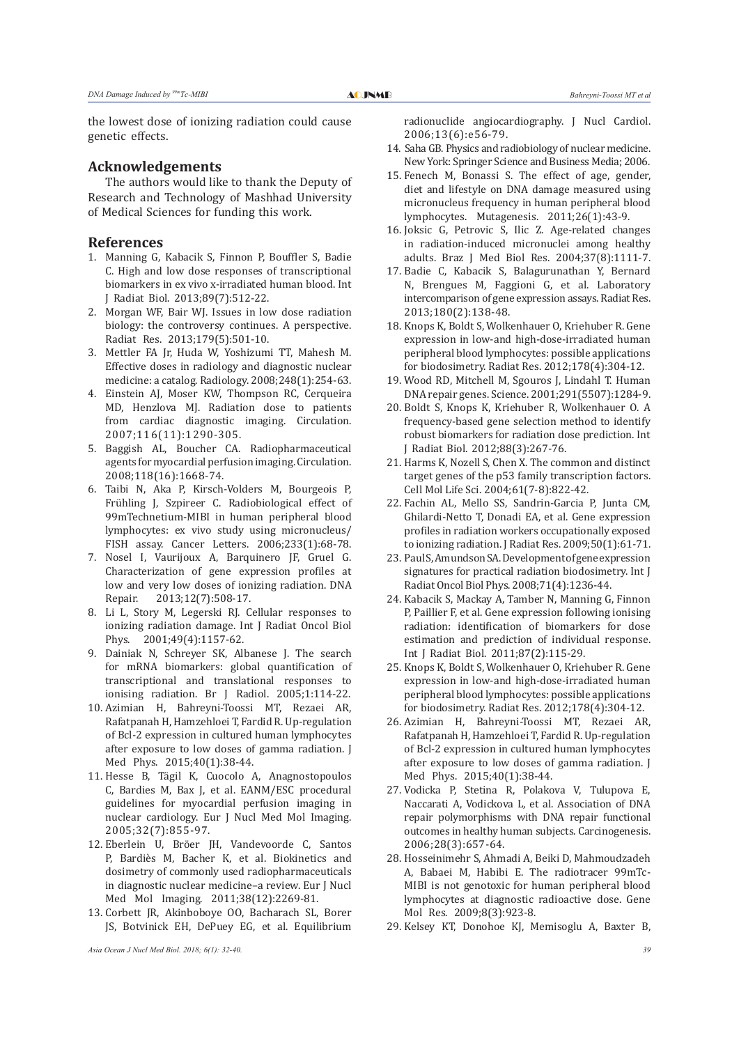the lowest dose of ionizing radiation could cause genetic effects.

# **Acknowledgements**

The authors would like to thank the Deputy of Research and Technology of Mashhad University of Medical Sciences for funding this work.

## **References**

- 1. Manning G, Kabacik S, Finnon P, Bouffler S, Badie C. High and low dose responses of transcriptional biomarkers in ex vivo x-irradiated human blood. Int J Radiat Biol. 2013;89(7):512-22.
- 2. Morgan WF, Bair WJ. Issues in low dose radiation biology: the controversy continues. A perspective. Radiat Res. 2013;179(5):501-10.
- 3. Mettler FA Jr, Huda W, Yoshizumi TT, Mahesh M. Effective doses in radiology and diagnostic nuclear medicine: a catalog. Radiology. 2008;248(1):254-63.
- 4. Einstein AJ, Moser KW, Thompson RC, Cerqueira MD, Henzlova MJ. Radiation dose to patients from cardiac diagnostic imaging. Circulation. 2007;116(11):1290-305.
- 5. Baggish AL, Boucher CA. Radiopharmaceutical agents for myocardial perfusion imaging. Circulation. 2008;118(16):1668-74.
- 6. Taibi N, Aka P, Kirsch-Volders M, Bourgeois P, Frühling J, Szpireer C. Radiobiological effect of 99mTechnetium-MIBI in human peripheral blood lymphocytes: ex vivo study using micronucleus/ FISH assay. Cancer Letters. 2006;233(1):68-78.
- 7. Nosel I, Vaurijoux A, Barquinero JF, Gruel G. Characterization of gene expression profiles at low and very low doses of ionizing radiation. DNA<br>Repair. 2013:12(7):508-17. 2013;12(7):508-17.
- 8. Li L, Story M, Legerski RJ. Cellular responses to ionizing radiation damage. Int J Radiat Oncol Biol Phys. 2001;49(4):1157-62.
- 9. Dainiak N, Schreyer SK, Albanese J. The search for mRNA biomarkers: global quantification of transcriptional and translational responses to ionising radiation. Br J Radiol. 2005;1:114-22.
- 10. Azimian H, Bahreyni-Toossi MT, Rezaei AR, Rafatpanah H, Hamzehloei T, Fardid R. Up-regulation of Bcl-2 expression in cultured human lymphocytes after exposure to low doses of gamma radiation. J Med Phys. 2015;40(1):38-44.
- 11. Hesse B, Tägil K, Cuocolo A, Anagnostopoulos C, Bardies M, Bax J, et al. EANM/ESC procedural guidelines for myocardial perfusion imaging in nuclear cardiology. Eur J Nucl Med Mol Imaging. 2005;32(7):855-97.
- 12. Eberlein U, Bröer JH, Vandevoorde C, Santos P, Bardiès M, Bacher K, et al. Biokinetics and dosimetry of commonly used radiopharmaceuticals in diagnostic nuclear medicine–a review. Eur J Nucl Med Mol Imaging. 2011;38(12):2269-81.
- 13. Corbett JR, Akinboboye OO, Bacharach SL, Borer JS, Botvinick EH, DePuey EG, et al. Equilibrium

*Asia Ocean J Nucl Med Biol. 2018; 6(1): 32-40. 39*

radionuclide angiocardiography. J Nucl Cardiol. 2006;13(6):e56-79.

- 14. Saha GB. Physics and radiobiology of nuclear medicine. New York: Springer Science and Business Media; 2006.
- 15. Fenech M, Bonassi S. The effect of age, gender, diet and lifestyle on DNA damage measured using micronucleus frequency in human peripheral blood lymphocytes. Mutagenesis. 2011;26(1):43-9.
- 16. Joksic G, Petrovic S, Ilic Z. Age-related changes in radiation-induced micronuclei among healthy adults. Braz J Med Biol Res. 2004;37(8):1111-7.
- 17. Badie C, Kabacik S, Balagurunathan Y, Bernard N, Brengues M, Faggioni G, et al. Laboratory intercomparison of gene expression assays. Radiat Res. 2013;180(2):138-48.
- 18. Knops K, Boldt S, Wolkenhauer O, Kriehuber R. Gene expression in low-and high-dose-irradiated human peripheral blood lymphocytes: possible applications for biodosimetry. Radiat Res. 2012;178(4):304-12.
- 19. Wood RD, Mitchell M, Sgouros J, Lindahl T. Human DNA repair genes. Science. 2001;291(5507):1284-9.
- 20. Boldt S, Knops K, Kriehuber R, Wolkenhauer O. A frequency-based gene selection method to identify robust biomarkers for radiation dose prediction. Int J Radiat Biol. 2012;88(3):267-76.
- 21. Harms K, Nozell S, Chen X. The common and distinct target genes of the p53 family transcription factors. Cell Mol Life Sci. 2004;61(7-8):822-42.
- 22. Fachin AL, Mello SS, Sandrin-Garcia P, Junta CM, Ghilardi-Netto T, Donadi EA, et al. Gene expression profiles in radiation workers occupationally exposed to ionizing radiation. J Radiat Res. 2009;50(1):61-71.
- 23. Paul S, Amundson SA. Development of gene expression signatures for practical radiation biodosimetry. Int J Radiat Oncol Biol Phys. 2008;71(4):1236-44.
- 24. Kabacik S, Mackay A, Tamber N, Manning G, Finnon P, Paillier F, et al. Gene expression following ionising radiation: identification of biomarkers for dose estimation and prediction of individual response. Int J Radiat Biol. 2011;87(2):115-29.
- 25. Knops K, Boldt S, Wolkenhauer O, Kriehuber R. Gene expression in low-and high-dose-irradiated human peripheral blood lymphocytes: possible applications for biodosimetry. Radiat Res. 2012;178(4):304-12.
- 26. Azimian H, Bahreyni-Toossi MT, Rezaei AR, Rafatpanah H, Hamzehloei T, Fardid R. Up-regulation of Bcl-2 expression in cultured human lymphocytes after exposure to low doses of gamma radiation. J Med Phys. 2015;40(1):38-44.
- 27. Vodicka P, Stetina R, Polakova V, Tulupova E, Naccarati A, Vodickova L, et al. Association of DNA repair polymorphisms with DNA repair functional outcomes in healthy human subjects. Carcinogenesis. 2006;28(3):657-64.
- 28. Hosseinimehr S, Ahmadi A, Beiki D, Mahmoudzadeh A, Babaei M, Habibi E. The radiotracer 99mTc-MIBI is not genotoxic for human peripheral blood lymphocytes at diagnostic radioactive dose. Gene Mol Res. 2009;8(3):923-8.
- 29. Kelsey KT, Donohoe KJ, Memisoglu A, Baxter B,